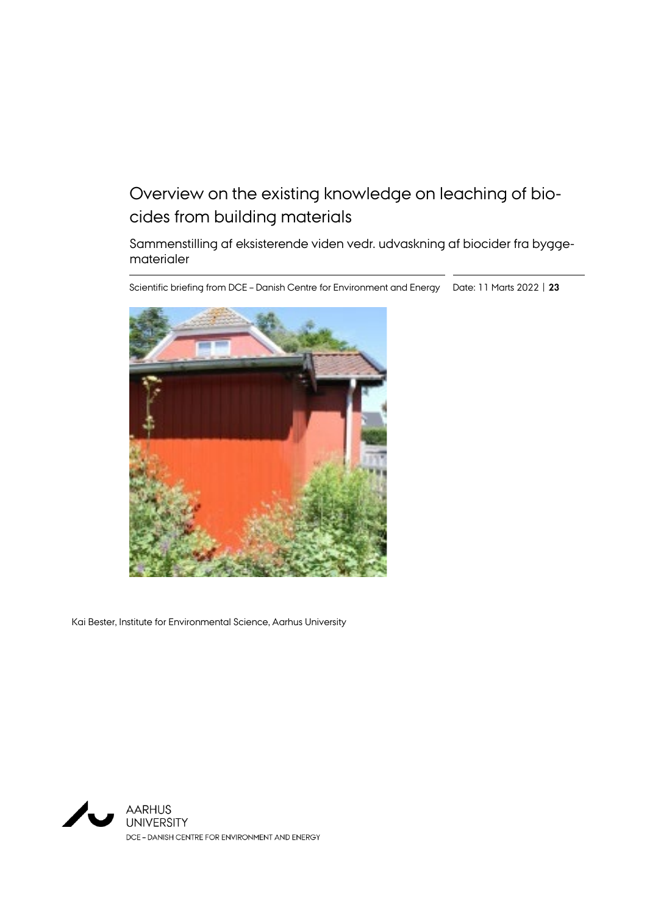# Overview on the existing knowledge on leaching of biocides from building materials

Sammenstilling af eksisterende viden vedr. udvaskning af biocider fra byggematerialer

Scientific briefing from DCE – Danish Centre for Environment and Energy Date: 11 Marts 2022 | **23**



Kai Bester, Institute for Environmental Science, Aarhus University

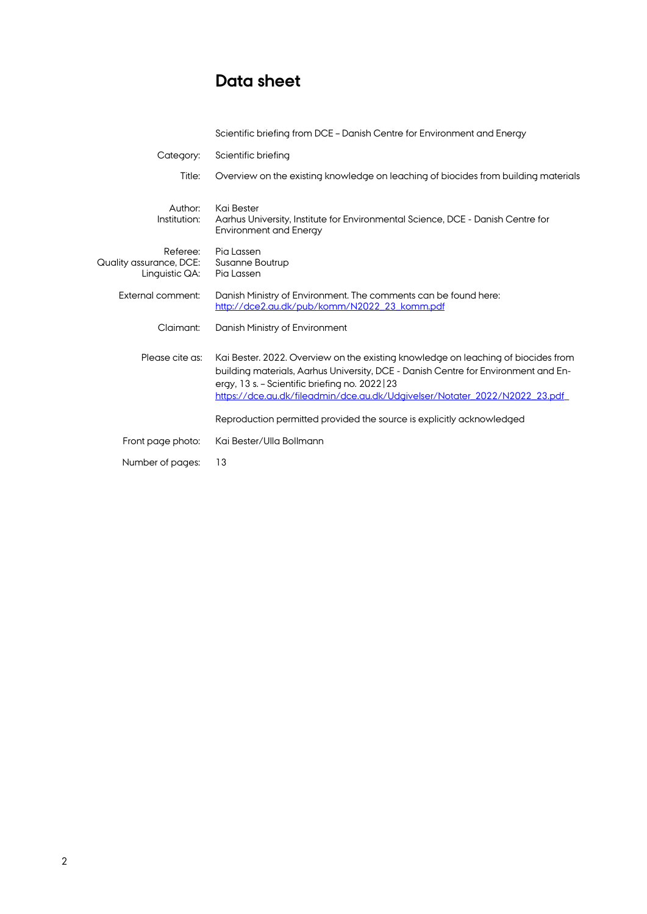# **Data sheet**

|                                                       | Scientific briefing from DCE - Danish Centre for Environment and Energy                                                                                                                                                                                                                                  |  |
|-------------------------------------------------------|----------------------------------------------------------------------------------------------------------------------------------------------------------------------------------------------------------------------------------------------------------------------------------------------------------|--|
| Category:                                             | Scientific briefing                                                                                                                                                                                                                                                                                      |  |
| Title:                                                | Overview on the existing knowledge on leaching of biocides from building materials                                                                                                                                                                                                                       |  |
| Author:<br>Institution:                               | Kai Bester<br>Aarhus University, Institute for Environmental Science, DCE - Danish Centre for<br><b>Environment and Energy</b>                                                                                                                                                                           |  |
| Referee:<br>Quality assurance, DCE:<br>Linguistic QA: | Pia Lassen<br>Susanne Boutrup<br>Pia Lassen                                                                                                                                                                                                                                                              |  |
| External comment:                                     | Danish Ministry of Environment. The comments can be found here:<br>http://dce2.au.dk/pub/komm/N2022_23_komm.pdf                                                                                                                                                                                          |  |
| Claimant:                                             | Danish Ministry of Environment                                                                                                                                                                                                                                                                           |  |
| Please cite as:                                       | Kai Bester. 2022. Overview on the existing knowledge on leaching of biocides from<br>building materials, Aarhus University, DCE - Danish Centre for Environment and En-<br>ergy, 13 s. – Scientific briefing no. 2022   23<br>https://dce.au.dk/fileadmin/dce.au.dk/Udgivelser/Notater_2022/N2022_23.pdf |  |
|                                                       | Reproduction permitted provided the source is explicitly acknowledged                                                                                                                                                                                                                                    |  |
| Front page photo:                                     | Kai Bester/Ulla Bollmann                                                                                                                                                                                                                                                                                 |  |
| Number of pages:                                      | 13                                                                                                                                                                                                                                                                                                       |  |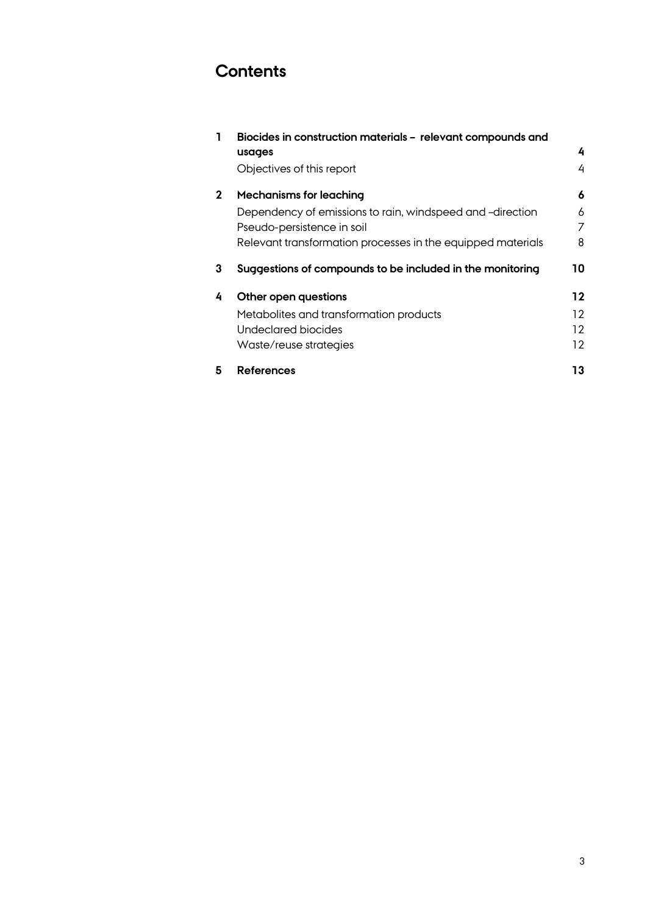# **Contents**

| 1           | Biocides in construction materials - relevant compounds and |    |  |  |
|-------------|-------------------------------------------------------------|----|--|--|
|             | usages                                                      | 4  |  |  |
|             | Objectives of this report                                   | 4  |  |  |
| $\mathbf 2$ | <b>Mechanisms for leaching</b>                              | 6  |  |  |
|             | Dependency of emissions to rain, windspeed and -direction   | 6  |  |  |
|             | Pseudo-persistence in soil                                  | 7  |  |  |
|             | Relevant transformation processes in the equipped materials | 8  |  |  |
| 3           | Suggestions of compounds to be included in the monitoring   | 10 |  |  |
| 4           | Other open questions                                        | 12 |  |  |
|             | Metabolites and transformation products                     | 12 |  |  |
|             | <b>Undeclared biocides</b>                                  | 12 |  |  |
|             | Waste/reuse strategies                                      | 12 |  |  |
| 5           | <b>References</b>                                           | 13 |  |  |
|             |                                                             |    |  |  |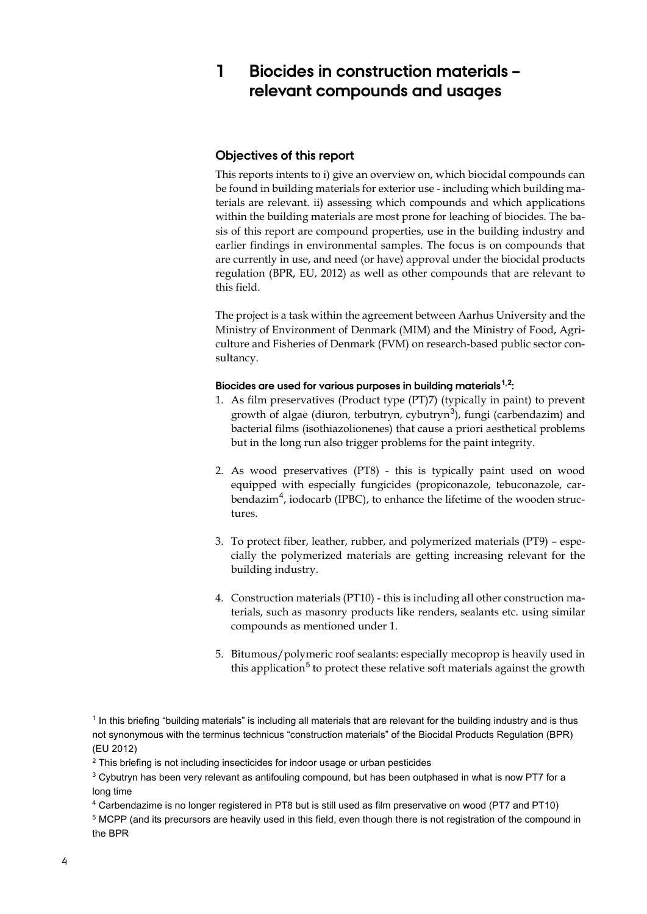## **1 Biocides in construction materials – relevant compounds and usages**

#### **Objectives of this report**

This reports intents to i) give an overview on, which biocidal compounds can be found in building materials for exterior use - including which building materials are relevant. ii) assessing which compounds and which applications within the building materials are most prone for leaching of biocides. The basis of this report are compound properties, use in the building industry and earlier findings in environmental samples. The focus is on compounds that are currently in use, and need (or have) approval under the biocidal products regulation (BPR, EU, 2012) as well as other compounds that are relevant to this field.

The project is a task within the agreement between Aarhus University and the Ministry of Environment of Denmark (MIM) and the Ministry of Food, Agriculture and Fisheries of Denmark (FVM) on research-based public sector consultancy.

#### **Biocides are used for various purposes in building materials[1](#page-4-0),[2](#page-4-1) :**

- 1. As film preservatives (Product type (PT)7) (typically in paint) to prevent growth of algae (diuron, terbutryn, cybutryn<sup>[3](#page-4-2)</sup>), fungi (carbendazim) and bacterial films (isothiazolionenes) that cause a priori aesthetical problems but in the long run also trigger problems for the paint integrity.
- 2. As wood preservatives (PT8) this is typically paint used on wood equipped with especially fungicides (propiconazole, tebuconazole, car-bendazim<sup>[4](#page-4-3)</sup>, iodocarb (IPBC), to enhance the lifetime of the wooden structures.
- 3. To protect fiber, leather, rubber, and polymerized materials (PT9) especially the polymerized materials are getting increasing relevant for the building industry.
- 4. Construction materials (PT10) this is including all other construction materials, such as masonry products like renders, sealants etc. using similar compounds as mentioned under 1.
- 5. Bitumous/polymeric roof sealants: especially mecoprop is heavily used in this application<sup>[5](#page-4-4)</sup> to protect these relative soft materials against the growth

<span id="page-4-2"></span><sup>3</sup> Cybutryn has been very relevant as antifouling compound, but has been outphased in what is now PT7 for a long time

<sup>4</sup> Carbendazime is no longer registered in PT8 but is still used as film preservative on wood (PT7 and PT10)

<span id="page-4-4"></span><span id="page-4-3"></span><sup>5</sup> MCPP (and its precursors are heavily used in this field, even though there is not registration of the compound in the BPR

<span id="page-4-0"></span><sup>1</sup> In this briefing "building materials" is including all materials that are relevant for the building industry and is thus not synonymous with the terminus technicus "construction materials" of the Biocidal Products Regulation (BPR) (EU 2012)

<span id="page-4-1"></span><sup>&</sup>lt;sup>2</sup> This briefing is not including insecticides for indoor usage or urban pesticides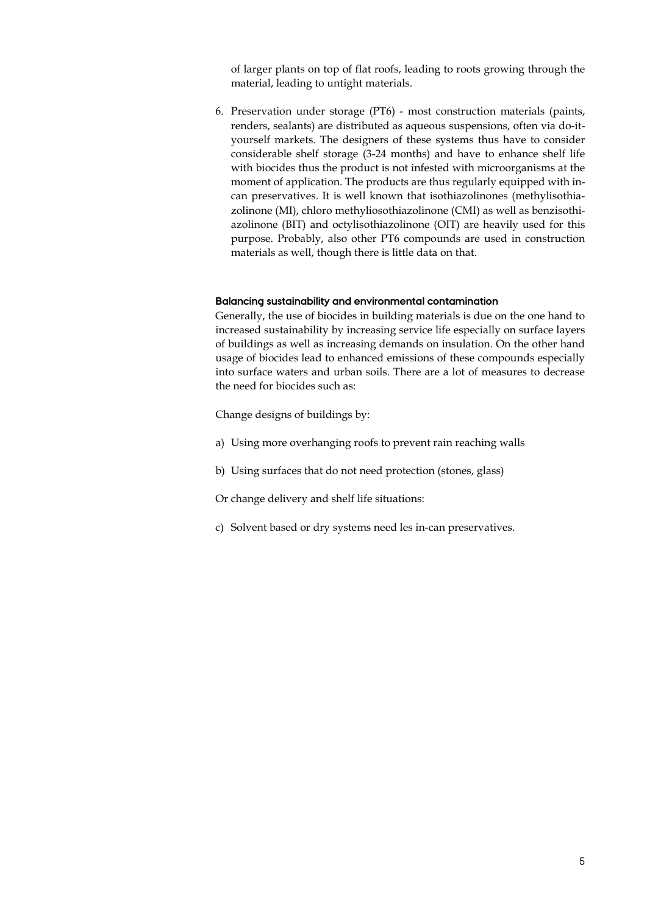of larger plants on top of flat roofs, leading to roots growing through the material, leading to untight materials.

6. Preservation under storage (PT6) - most construction materials (paints, renders, sealants) are distributed as aqueous suspensions, often via do-ityourself markets. The designers of these systems thus have to consider considerable shelf storage (3-24 months) and have to enhance shelf life with biocides thus the product is not infested with microorganisms at the moment of application. The products are thus regularly equipped with incan preservatives. It is well known that isothiazolinones (methylisothiazolinone (MI), chloro methyliosothiazolinone (CMI) as well as benzisothiazolinone (BIT) and octylisothiazolinone (OIT) are heavily used for this purpose. Probably, also other PT6 compounds are used in construction materials as well, though there is little data on that.

#### **Balancing sustainability and environmental contamination**

Generally, the use of biocides in building materials is due on the one hand to increased sustainability by increasing service life especially on surface layers of buildings as well as increasing demands on insulation. On the other hand usage of biocides lead to enhanced emissions of these compounds especially into surface waters and urban soils. There are a lot of measures to decrease the need for biocides such as:

Change designs of buildings by:

- a) Using more overhanging roofs to prevent rain reaching walls
- b) Using surfaces that do not need protection (stones, glass)

Or change delivery and shelf life situations:

c) Solvent based or dry systems need les in-can preservatives.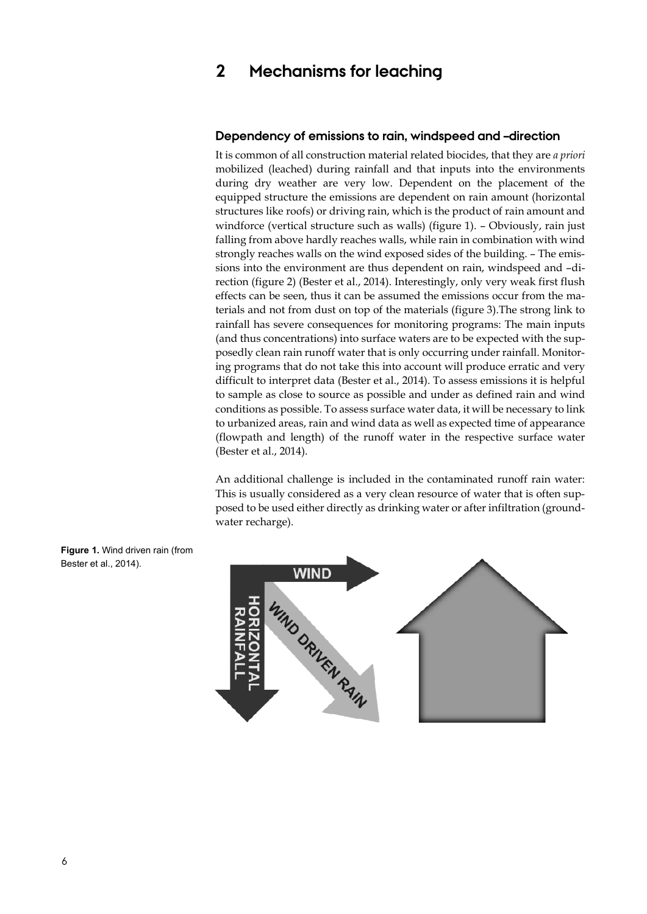## **2 Mechanisms for leaching**

#### **Dependency of emissions to rain, windspeed and –direction**

It is common of all construction material related biocides, that they are *a priori* mobilized (leached) during rainfall and that inputs into the environments during dry weather are very low. Dependent on the placement of the equipped structure the emissions are dependent on rain amount (horizontal structures like roofs) or driving rain, which is the product of rain amount and windforce (vertical structure such as walls) (figure 1). - Obviously, rain just falling from above hardly reaches walls, while rain in combination with wind strongly reaches walls on the wind exposed sides of the building. – The emissions into the environment are thus dependent on rain, windspeed and –direction (figure 2) (Bester et al., 2014). Interestingly, only very weak first flush effects can be seen, thus it can be assumed the emissions occur from the materials and not from dust on top of the materials (figure 3).The strong link to rainfall has severe consequences for monitoring programs: The main inputs (and thus concentrations) into surface waters are to be expected with the supposedly clean rain runoff water that is only occurring under rainfall. Monitoring programs that do not take this into account will produce erratic and very difficult to interpret data (Bester et al., 2014). To assess emissions it is helpful to sample as close to source as possible and under as defined rain and wind conditions as possible. To assess surface water data, it will be necessary to link to urbanized areas, rain and wind data as well as expected time of appearance (flowpath and length) of the runoff water in the respective surface water (Bester et al., 2014).

An additional challenge is included in the contaminated runoff rain water: This is usually considered as a very clean resource of water that is often supposed to be used either directly as drinking water or after infiltration (groundwater recharge).



**Figure 1.** Wind driven rain (from Bester et al., 2014).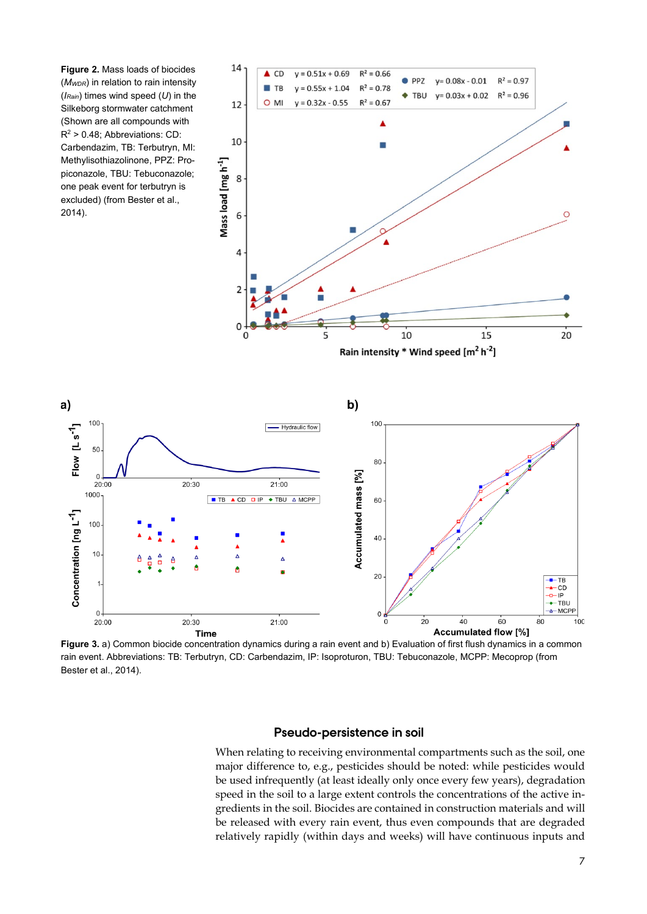**Figure 2.** Mass loads of biocides (*MWDR*) in relation to rain intensity (*IRain*) times wind speed (*U*) in the Silkeborg stormwater catchment (Shown are all compounds with  $R^2$  > 0.48; Abbreviations: CD: Carbendazim, TB: Terbutryn, MI: Methylisothiazolinone, PPZ: Propiconazole, TBU: Tebuconazole; one peak event for terbutryn is excluded) (from Bester et al., 2014).

 $a)$ 

Flow  $\left[\text{L s}^{-1}\right]$ 

Concentration [ng L<sup>-1</sup>]



**Figure 3.** a) Common biocide concentration dynamics during a rain event and b) Evaluation of first flush dynamics in a common rain event. Abbreviations: TB: Terbutryn, CD: Carbendazim, IP: Isoproturon, TBU: Tebuconazole, MCPP: Mecoprop (from Bester et al., 2014).

#### **Pseudo-persistence in soil**

When relating to receiving environmental compartments such as the soil, one major difference to, e.g., pesticides should be noted: while pesticides would be used infrequently (at least ideally only once every few years), degradation speed in the soil to a large extent controls the concentrations of the active ingredients in the soil. Biocides are contained in construction materials and will be released with every rain event, thus even compounds that are degraded relatively rapidly (within days and weeks) will have continuous inputs and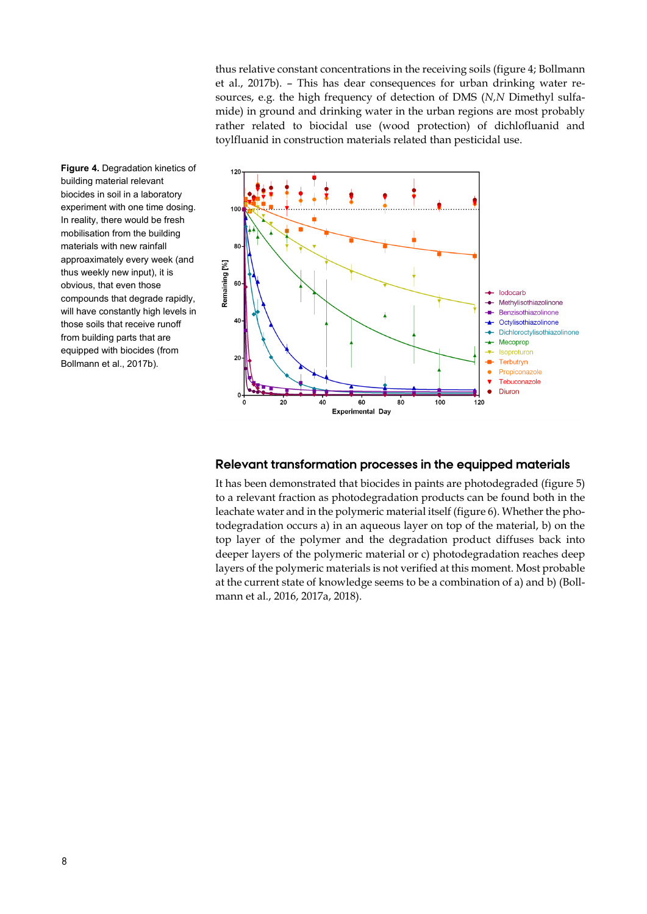thus relative constant concentrations in the receiving soils (figure 4; Bollmann et al., 2017b). – This has dear consequences for urban drinking water resources, e.g. the high frequency of detection of DMS (*N,N* Dimethyl sulfamide) in ground and drinking water in the urban regions are most probably rather related to biocidal use (wood protection) of dichlofluanid and toylfluanid in construction materials related than pesticidal use.

**Figure 4.** Degradation kinetics of building material relevant biocides in soil in a laboratory experiment with one time dosing. In reality, there would be fresh mobilisation from the building materials with new rainfall approaximately every week (and thus weekly new input), it is obvious, that even those compounds that degrade rapidly, will have constantly high levels in those soils that receive runoff from building parts that are equipped with biocides (from Bollmann et al., 2017b).



#### **Relevant transformation processes in the equipped materials**

It has been demonstrated that biocides in paints are photodegraded (figure 5) to a relevant fraction as photodegradation products can be found both in the leachate water and in the polymeric material itself (figure 6). Whether the photodegradation occurs a) in an aqueous layer on top of the material, b) on the top layer of the polymer and the degradation product diffuses back into deeper layers of the polymeric material or c) photodegradation reaches deep layers of the polymeric materials is not verified at this moment. Most probable at the current state of knowledge seems to be a combination of a) and b) (Bollmann et al., 2016, 2017a, 2018).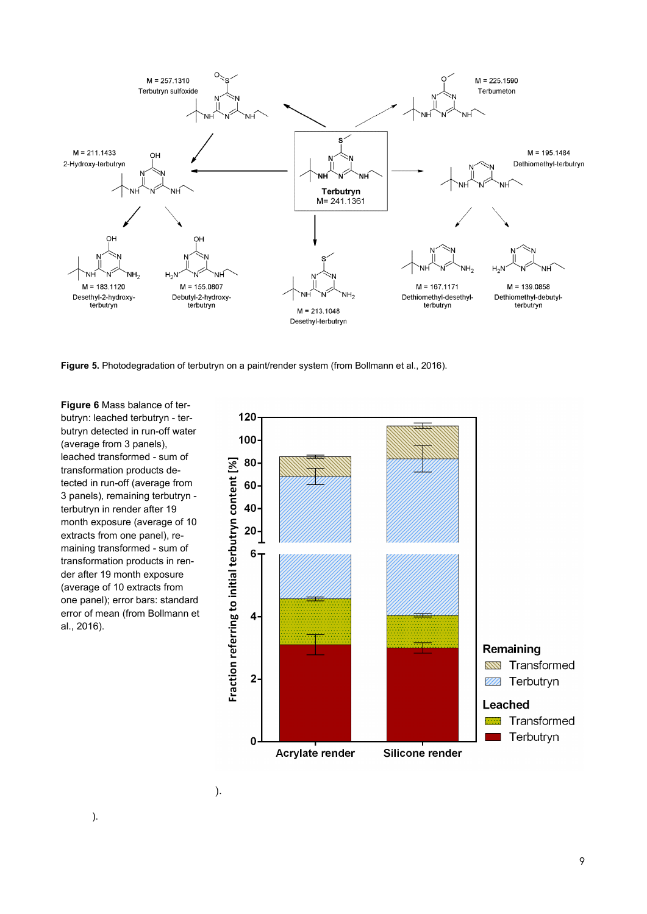

**Figure 5.** Photodegradation of terbutryn on a paint/render system (from Bollmann et al., 2016).

**Figure 6** Mass balance of terbutryn: leached terbutryn - terbutryn detected in run-off water (average from 3 panels), leached transformed - sum of transformation products detected in run-off (average from 3 panels), remaining terbutryn terbutryn in render after 19 month exposure (average of 10 extracts from one panel), remaining transformed - sum of transformation products in render after 19 month exposure (average of 10 extracts from one panel); error bars: standard error of mean (from Bollmann et al., 2016).

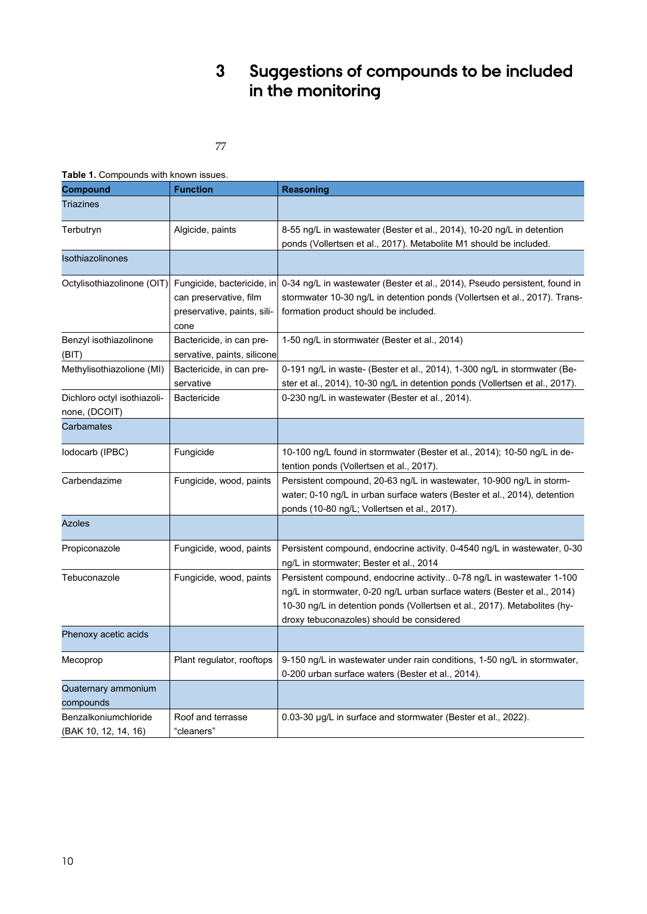# **3 Suggestions of compounds to be included in the monitoring**

77

#### **Table 1.** Compounds with known issues.

| <b>Compound</b>                              | <b>Function</b>                                                                             | Reasoning                                                                                                                                                                                                                                                                   |  |  |
|----------------------------------------------|---------------------------------------------------------------------------------------------|-----------------------------------------------------------------------------------------------------------------------------------------------------------------------------------------------------------------------------------------------------------------------------|--|--|
| <b>Triazines</b>                             |                                                                                             |                                                                                                                                                                                                                                                                             |  |  |
| Terbutryn                                    | Algicide, paints                                                                            | 8-55 ng/L in wastewater (Bester et al., 2014), 10-20 ng/L in detention<br>ponds (Vollertsen et al., 2017). Metabolite M1 should be included.                                                                                                                                |  |  |
| Isothiazolinones                             |                                                                                             |                                                                                                                                                                                                                                                                             |  |  |
| Octylisothiazolinone (OIT)                   | Fungicide, bactericide, in<br>can preservative, film<br>preservative, paints, sili-<br>cone | 0-34 ng/L in wastewater (Bester et al., 2014), Pseudo persistent, found in<br>stormwater 10-30 ng/L in detention ponds (Vollertsen et al., 2017). Trans-<br>formation product should be included.                                                                           |  |  |
| Benzyl isothiazolinone<br>(BIT)              | Bactericide, in can pre-<br>servative, paints, silicone                                     | 1-50 ng/L in stormwater (Bester et al., 2014)                                                                                                                                                                                                                               |  |  |
| Methylisothiazolione (MI)                    | Bactericide, in can pre-<br>servative                                                       | 0-191 ng/L in waste- (Bester et al., 2014), 1-300 ng/L in stormwater (Be-<br>ster et al., 2014), 10-30 ng/L in detention ponds (Vollertsen et al., 2017).                                                                                                                   |  |  |
| Dichloro octyl isothiazoli-<br>none, (DCOIT) | <b>Bactericide</b>                                                                          | 0-230 ng/L in wastewater (Bester et al., 2014).                                                                                                                                                                                                                             |  |  |
| Carbamates                                   |                                                                                             |                                                                                                                                                                                                                                                                             |  |  |
| lodocarb (IPBC)                              | Fungicide                                                                                   | 10-100 ng/L found in stormwater (Bester et al., 2014); 10-50 ng/L in de-<br>tention ponds (Vollertsen et al., 2017).                                                                                                                                                        |  |  |
| Carbendazime                                 | Fungicide, wood, paints                                                                     | Persistent compound, 20-63 ng/L in wastewater, 10-900 ng/L in storm-<br>water; 0-10 ng/L in urban surface waters (Bester et al., 2014), detention<br>ponds (10-80 ng/L; Vollertsen et al., 2017)                                                                            |  |  |
| <b>Azoles</b>                                |                                                                                             |                                                                                                                                                                                                                                                                             |  |  |
| Propiconazole                                | Fungicide, wood, paints                                                                     | Persistent compound, endocrine activity. 0-4540 ng/L in wastewater, 0-30<br>ng/L in stormwater; Bester et al., 2014                                                                                                                                                         |  |  |
| Tebuconazole                                 | Fungicide, wood, paints                                                                     | Persistent compound, endocrine activity 0-78 ng/L in wastewater 1-100<br>ng/L in stormwater, 0-20 ng/L urban surface waters (Bester et al., 2014)<br>10-30 ng/L in detention ponds (Vollertsen et al., 2017). Metabolites (hy-<br>droxy tebuconazoles) should be considered |  |  |
| Phenoxy acetic acids                         |                                                                                             |                                                                                                                                                                                                                                                                             |  |  |
| Plant regulator, rooftops<br>Mecoprop        |                                                                                             | 9-150 ng/L in wastewater under rain conditions, 1-50 ng/L in stormwater,<br>0-200 urban surface waters (Bester et al., 2014).                                                                                                                                               |  |  |
| Quaternary ammonium<br>compounds             |                                                                                             |                                                                                                                                                                                                                                                                             |  |  |
| Benzalkoniumchloride<br>(BAK 10, 12, 14, 16) | Roof and terrasse<br>"cleaners"                                                             | 0.03-30 µg/L in surface and stormwater (Bester et al., 2022).                                                                                                                                                                                                               |  |  |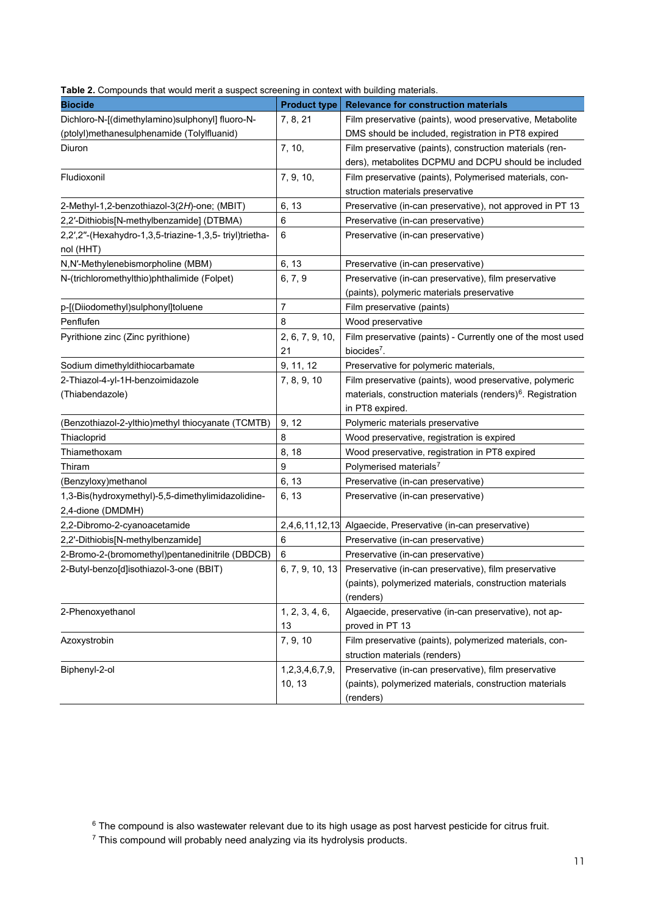| Table 2. Compounds that would merit a suspect screening in context with building materials. |  |  |
|---------------------------------------------------------------------------------------------|--|--|
|---------------------------------------------------------------------------------------------|--|--|

| n compounde that meals ment a caepoct coreening in context man saliang materiale. |                     |                                                                         |
|-----------------------------------------------------------------------------------|---------------------|-------------------------------------------------------------------------|
| <b>Biocide</b>                                                                    | <b>Product type</b> | <b>Relevance for construction materials</b>                             |
| Dichloro-N-[(dimethylamino)sulphonyl] fluoro-N-                                   | 7, 8, 21            | Film preservative (paints), wood preservative, Metabolite               |
| (ptolyl)methanesulphenamide (Tolylfluanid)                                        |                     | DMS should be included, registration in PT8 expired                     |
| Diuron                                                                            | 7, 10,              | Film preservative (paints), construction materials (ren-                |
|                                                                                   |                     | ders), metabolites DCPMU and DCPU should be included                    |
| Fludioxonil                                                                       | 7, 9, 10,           | Film preservative (paints), Polymerised materials, con-                 |
|                                                                                   |                     | struction materials preservative                                        |
| 2-Methyl-1,2-benzothiazol-3(2H)-one; (MBIT)                                       | 6, 13               | Preservative (in-can preservative), not approved in PT 13               |
| 2,2'-Dithiobis[N-methylbenzamide] (DTBMA)                                         | 6                   | Preservative (in-can preservative)                                      |
| 2,2',2"-(Hexahydro-1,3,5-triazine-1,3,5-triyl)trietha-                            | 6                   | Preservative (in-can preservative)                                      |
| nol (HHT)                                                                         |                     |                                                                         |
| N,N'-Methylenebismorpholine (MBM)                                                 | 6, 13               | Preservative (in-can preservative)                                      |
| N-(trichloromethylthio)phthalimide (Folpet)                                       | 6, 7, 9             | Preservative (in-can preservative), film preservative                   |
|                                                                                   |                     | (paints), polymeric materials preservative                              |
| p-[(Diiodomethyl)sulphonyl]toluene                                                | $\overline{7}$      | Film preservative (paints)                                              |
| Penflufen                                                                         | 8                   | Wood preservative                                                       |
| Pyrithione zinc (Zinc pyrithione)                                                 | 2, 6, 7, 9, 10,     | Film preservative (paints) - Currently one of the most used             |
|                                                                                   | 21                  | biocides <sup>7</sup> .                                                 |
| Sodium dimethyldithiocarbamate                                                    | 9, 11, 12           | Preservative for polymeric materials,                                   |
| 2-Thiazol-4-yl-1H-benzoimidazole                                                  | 7, 8, 9, 10         | Film preservative (paints), wood preservative, polymeric                |
| (Thiabendazole)                                                                   |                     | materials, construction materials (renders) <sup>6</sup> . Registration |
|                                                                                   |                     | in PT8 expired.                                                         |
| (Benzothiazol-2-ylthio)methyl thiocyanate (TCMTB)                                 | 9, 12               | Polymeric materials preservative                                        |
| Thiacloprid                                                                       | 8                   | Wood preservative, registration is expired                              |
| Thiamethoxam                                                                      | 8, 18               | Wood preservative, registration in PT8 expired                          |
| Thiram                                                                            | 9                   | Polymerised materials <sup>7</sup>                                      |
| (Benzyloxy)methanol                                                               | 6, 13               | Preservative (in-can preservative)                                      |
| 1,3-Bis(hydroxymethyl)-5,5-dimethylimidazolidine-                                 | 6, 13               | Preservative (in-can preservative)                                      |
| 2,4-dione (DMDMH)                                                                 |                     |                                                                         |
| 2,2-Dibromo-2-cyanoacetamide                                                      |                     | 2,4,6,11,12,13 Algaecide, Preservative (in-can preservative)            |
| 2,2'-Dithiobis[N-methylbenzamide]                                                 | 6                   | Preservative (in-can preservative)                                      |
| 2-Bromo-2-(bromomethyl)pentanedinitrile (DBDCB)                                   | 6                   | Preservative (in-can preservative)                                      |
| 2-Butyl-benzo[d]isothiazol-3-one (BBIT)                                           | 6, 7, 9, 10, 13     | Preservative (in-can preservative), film preservative                   |
|                                                                                   |                     | (paints), polymerized materials, construction materials                 |
|                                                                                   |                     | (renders)                                                               |
| 2-Phenoxyethanol                                                                  | 1, 2, 3, 4, 6,      | Algaecide, preservative (in-can preservative), not ap-                  |
|                                                                                   | 13                  | proved in PT 13                                                         |
| Azoxystrobin                                                                      | 7, 9, 10            | Film preservative (paints), polymerized materials, con-                 |
|                                                                                   |                     | struction materials (renders)                                           |
| Biphenyl-2-ol                                                                     | 1,2,3,4,6,7,9,      | Preservative (in-can preservative), film preservative                   |
|                                                                                   | 10, 13              | (paints), polymerized materials, construction materials                 |
|                                                                                   |                     | (renders)                                                               |

<span id="page-11-2"></span><span id="page-11-1"></span><span id="page-11-0"></span> $^6$  The compound is also wastewater relevant due to its high usage as post harvest pesticide for citrus fruit.

 $\mathrm{^{7}}$  This compound will probably need analyzing via its hydrolysis products.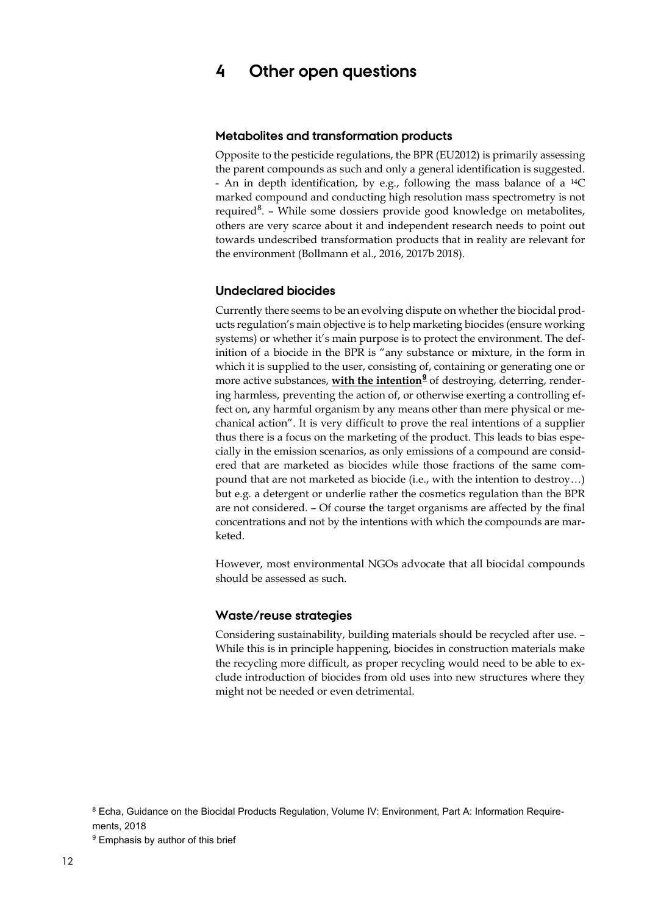## **4 Other open questions**

#### **Metabolites and transformation products**

Opposite to the pesticide regulations, the BPR (EU2012) is primarily assessing the parent compounds as such and only a general identification is suggested. - An in depth identification, by e.g., following the mass balance of a 14C marked compound and conducting high resolution mass spectrometry is not required<sup>[8](#page-12-0)</sup>. - While some dossiers provide good knowledge on metabolites, others are very scarce about it and independent research needs to point out towards undescribed transformation products that in reality are relevant for the environment (Bollmann et al., 2016, 2017b 2018).

#### **Undeclared biocides**

Currently there seems to be an evolving dispute on whether the biocidal products regulation's main objective is to help marketing biocides (ensure working systems) or whether it's main purpose is to protect the environment. The definition of a biocide in the BPR is "any substance or mixture, in the form in which it is supplied to the user, consisting of, containing or generating one or more active substances, **with the intention**<sup>[9](#page-12-1)</sup> of destroying, deterring, rendering harmless, preventing the action of, or otherwise exerting a controlling effect on, any harmful organism by any means other than mere physical or mechanical action". It is very difficult to prove the real intentions of a supplier thus there is a focus on the marketing of the product. This leads to bias especially in the emission scenarios, as only emissions of a compound are considered that are marketed as biocides while those fractions of the same compound that are not marketed as biocide (i.e., with the intention to destroy…) but e.g. a detergent or underlie rather the cosmetics regulation than the BPR are not considered. – Of course the target organisms are affected by the final concentrations and not by the intentions with which the compounds are marketed.

However, most environmental NGOs advocate that all biocidal compounds should be assessed as such.

#### **Waste/reuse strategies**

Considering sustainability, building materials should be recycled after use. – While this is in principle happening, biocides in construction materials make the recycling more difficult, as proper recycling would need to be able to exclude introduction of biocides from old uses into new structures where they might not be needed or even detrimental.

<span id="page-12-0"></span><sup>8</sup> Echa, Guidance on the Biocidal Products Regulation, Volume IV: Environment, Part A: Information Requirements, 2018

<span id="page-12-1"></span><sup>&</sup>lt;sup>9</sup> Emphasis by author of this brief